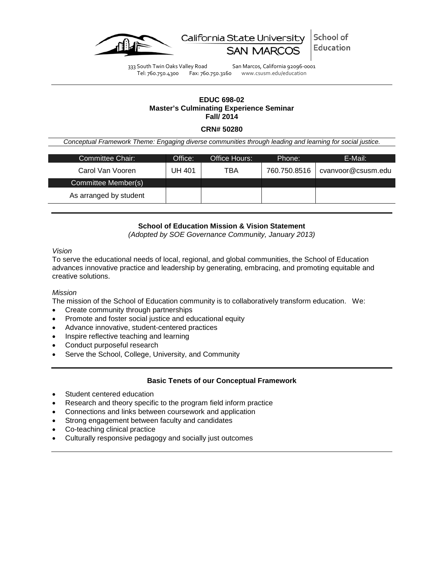

School of California State University Education

333 South Twin Oaks Valley Road San Marcos, California 92096-0001<br>Tel: 760.750.4300 Fax: 760.750.3160 www.csusm.edu/education Fax: 760.750.3160 www.csusm.edu/education

## **EDUC 698-02 Master's Culminating Experience Seminar Fall/ 2014**

#### **CRN# 50280**

*Conceptual Framework Theme: Engaging diverse communities through leading and learning for social justice.*

| Committee Chair:       | Office: | Office Hours: | Phone:       | E-Mail:            |  |  |
|------------------------|---------|---------------|--------------|--------------------|--|--|
| Carol Van Vooren       | UH 401  | TBA           | 760.750.8516 | cvanvoor@csusm.edu |  |  |
| Committee Member(s)    |         |               |              |                    |  |  |
| As arranged by student |         |               |              |                    |  |  |

# **School of Education Mission & Vision Statement**

*(Adopted by SOE Governance Community, January 2013)*

## *Vision*

To serve the educational needs of local, regional, and global communities, the School of Education advances innovative practice and leadership by generating, embracing, and promoting equitable and creative solutions.

### *Mission*

The mission of the School of Education community is to collaboratively transform education. We:

- Create community through partnerships
- Promote and foster social justice and educational equity
- Advance innovative, student-centered practices
- Inspire reflective teaching and learning
- Conduct purposeful research
- Serve the School, College, University, and Community

# **Basic Tenets of our Conceptual Framework**

- Student centered education
- Research and theory specific to the program field inform practice
- Connections and links between coursework and application
- Strong engagement between faculty and candidates
- Co-teaching clinical practice
- Culturally responsive pedagogy and socially just outcomes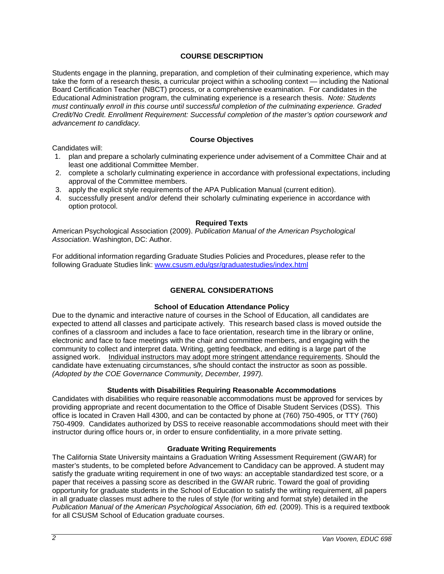# **COURSE DESCRIPTION**

Students engage in the planning, preparation, and completion of their culminating experience, which may take the form of a research thesis, a curricular project within a schooling context — including the National Board Certification Teacher (NBCT) process, or a comprehensive examination. For candidates in the Educational Administration program, the culminating experience is a research thesis. *Note: Students must continually enroll in this course until successful completion of the culminating experience. Graded Credit/No Credit. Enrollment Requirement: Successful completion of the master's option coursework and advancement to candidacy.*

# **Course Objectives**

Candidates will:

- 1. plan and prepare a scholarly culminating experience under advisement of a Committee Chair and at least one additional Committee Member.
- 2. complete a scholarly culminating experience in accordance with professional expectations, including approval of the Committee members.
- 3. apply the explicit style requirements of the APA Publication Manual (current edition).
- 4. successfully present and/or defend their scholarly culminating experience in accordance with option protocol.

## **Required Texts**

American Psychological Association (2009). *Publication Manual of the American Psychological Association*. Washington, DC: Author.

For additional information regarding Graduate Studies Policies and Procedures, please refer to the following Graduate Studies link: [www.csusm.edu/gsr/graduatestudies/index.html](http://www.csusm.edu/gsr/graduatestudies/index.html)

# **GENERAL CONSIDERATIONS**

# **School of Education Attendance Policy**

Due to the dynamic and interactive nature of courses in the School of Education, all candidates are expected to attend all classes and participate actively. This research based class is moved outside the confines of a classroom and includes a face to face orientation, research time in the library or online, electronic and face to face meetings with the chair and committee members, and engaging with the community to collect and interpret data. Writing, getting feedback, and editing is a large part of the assigned work. Individual instructors may adopt more stringent attendance requirements. Should the candidate have extenuating circumstances, s/he should contact the instructor as soon as possible. *(Adopted by the COE Governance Community, December, 1997).*

# **Students with Disabilities Requiring Reasonable Accommodations**

Candidates with disabilities who require reasonable accommodations must be approved for services by providing appropriate and recent documentation to the Office of Disable Student Services (DSS). This office is located in Craven Hall 4300, and can be contacted by phone at (760) 750-4905, or TTY (760) 750-4909. Candidates authorized by DSS to receive reasonable accommodations should meet with their instructor during office hours or, in order to ensure confidentiality, in a more private setting.

# **Graduate Writing Requirements**

The California State University maintains a Graduation Writing Assessment Requirement (GWAR) for master's students, to be completed before Advancement to Candidacy can be approved. A student may satisfy the graduate writing requirement in one of two ways: an acceptable standardized test score, or a paper that receives a passing score as described in the GWAR rubric. Toward the goal of providing opportunity for graduate students in the School of Education to satisfy the writing requirement, all papers in all graduate classes must adhere to the rules of style (for writing and format style) detailed in the *Publication Manual of the American Psychological Association, 6th ed.* (2009). This is a required textbook for all CSUSM School of Education graduate courses.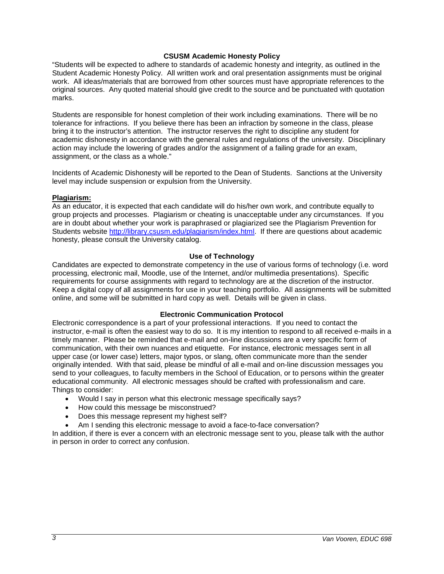## **CSUSM Academic Honesty Policy**

"Students will be expected to adhere to standards of academic honesty and integrity, as outlined in the Student Academic Honesty Policy. All written work and oral presentation assignments must be original work. All ideas/materials that are borrowed from other sources must have appropriate references to the original sources. Any quoted material should give credit to the source and be punctuated with quotation marks.

Students are responsible for honest completion of their work including examinations. There will be no tolerance for infractions. If you believe there has been an infraction by someone in the class, please bring it to the instructor's attention. The instructor reserves the right to discipline any student for academic dishonesty in accordance with the general rules and regulations of the university. Disciplinary action may include the lowering of grades and/or the assignment of a failing grade for an exam, assignment, or the class as a whole."

Incidents of Academic Dishonesty will be reported to the Dean of Students. Sanctions at the University level may include suspension or expulsion from the University.

### **Plagiarism:**

As an educator, it is expected that each candidate will do his/her own work, and contribute equally to group projects and processes. Plagiarism or cheating is unacceptable under any circumstances. If you are in doubt about whether your work is paraphrased or plagiarized see the Plagiarism Prevention for Students website [http://library.csusm.edu/plagiarism/index.html.](http://library.csusm.edu/plagiarism/index.html) If there are questions about academic honesty, please consult the University catalog.

#### **Use of Technology**

Candidates are expected to demonstrate competency in the use of various forms of technology (i.e. word processing, electronic mail, Moodle, use of the Internet, and/or multimedia presentations). Specific requirements for course assignments with regard to technology are at the discretion of the instructor. Keep a digital copy of all assignments for use in your teaching portfolio. All assignments will be submitted online, and some will be submitted in hard copy as well. Details will be given in class.

### **Electronic Communication Protocol**

Electronic correspondence is a part of your professional interactions. If you need to contact the instructor, e-mail is often the easiest way to do so. It is my intention to respond to all received e-mails in a timely manner. Please be reminded that e-mail and on-line discussions are a very specific form of communication, with their own nuances and etiquette. For instance, electronic messages sent in all upper case (or lower case) letters, major typos, or slang, often communicate more than the sender originally intended. With that said, please be mindful of all e-mail and on-line discussion messages you send to your colleagues, to faculty members in the School of Education, or to persons within the greater educational community. All electronic messages should be crafted with professionalism and care. Things to consider:

- Would I say in person what this electronic message specifically says?
- How could this message be misconstrued?
- Does this message represent my highest self?
- Am I sending this electronic message to avoid a face-to-face conversation?

In addition, if there is ever a concern with an electronic message sent to you, please talk with the author in person in order to correct any confusion.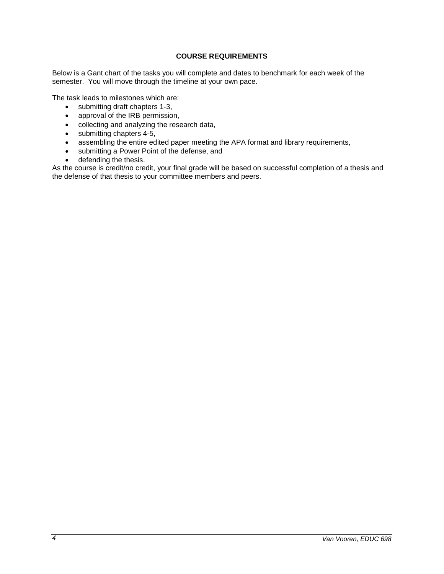# **COURSE REQUIREMENTS**

Below is a Gant chart of the tasks you will complete and dates to benchmark for each week of the semester. You will move through the timeline at your own pace.

The task leads to milestones which are:

- submitting draft chapters 1-3,
- approval of the IRB permission,
- collecting and analyzing the research data,
- submitting chapters 4-5,
- assembling the entire edited paper meeting the APA format and library requirements,
- submitting a Power Point of the defense, and
- defending the thesis.

As the course is credit/no credit, your final grade will be based on successful completion of a thesis and the defense of that thesis to your committee members and peers.